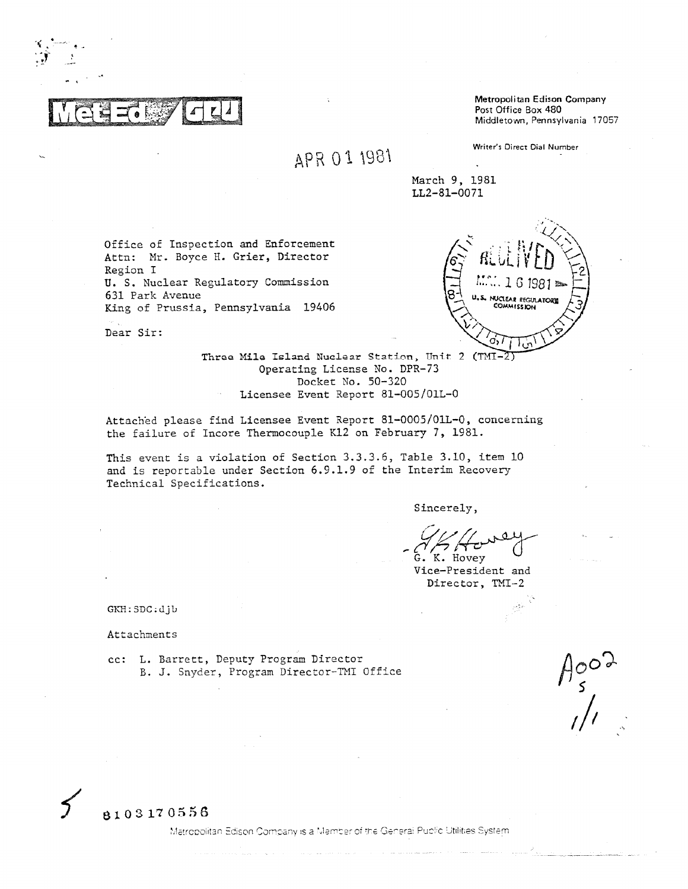Metropolitan Edison Company Post Office Box 480 Middletown, Pennsylvania 17057

# APR 01 1981

Writer's Direct Dial Number

March 9, 1981 LL2-81-0071

Office of Inspection and Enforcement Attn: Mr. Boyce H. Grier, Director Region I U. S. Nuclear Regulatory Commission 631 Park Avenue King of Prussia, Pennsylvania 19406



Dear Sir:

Three Mile Island Nuclear Station, Unit 2 (TMI-2) Operating License No. DPR-73 Docket No. 50-320 Licensee Event Report 81-005/01L-0

Attached please find Licensee Event Report 81-0005/01L-0, concerning the failure of Incore Thermocouple K12 on February 7, 1981.

This event is a violation of Section 3.3.3.6, Table 3.10, item 10 and is reportable under Section 6.9.1.9 of the Interim Recovery Technical Specifications.

Sincerely,

K. Hovey

Vice-President and Director, TMI-2

GKH: SDC: djb

Attachments

cc: L. Barrett, Deputy Program Director B. J. Snyder, Program Director-TMI Office

 $\begin{matrix} H_{S}^{\mathcal{O}O} & \rightarrow \\ \downarrow & \end{matrix}$ 



Matropolitan Edison Company is a Member of the General Public Utilities System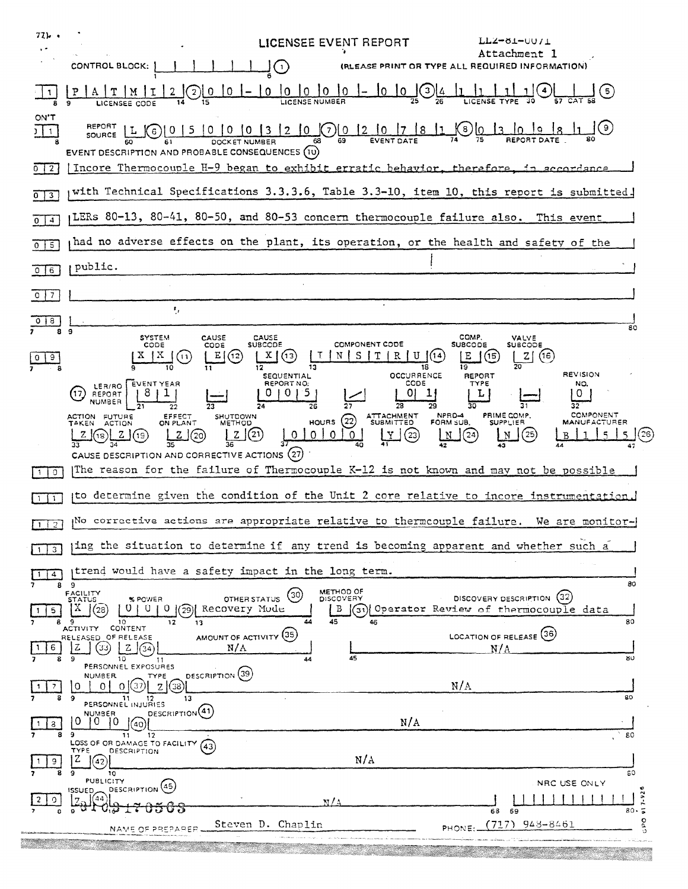| 77), .<br><b>LICENSEE EVENT REPORT</b><br>アナスータエーハウキア<br>$, \cdot$<br>Attachment I<br>CONTROL BLOCK:<br>(RLEASE PRINT OR TYPE ALL REQUIRED INFORMATION)                                                                                                                                                                                                                                                                                                                                                                                                                                    |
|--------------------------------------------------------------------------------------------------------------------------------------------------------------------------------------------------------------------------------------------------------------------------------------------------------------------------------------------------------------------------------------------------------------------------------------------------------------------------------------------------------------------------------------------------------------------------------------------|
| 10<br>10<br>$10^{-1}$<br>10<br>$\left\lfloor 3 \right\rfloor$<br>10.<br>$\overline{10}$<br>-5 )<br>0<br>O.<br>1                                                                                                                                                                                                                                                                                                                                                                                                                                                                            |
| ON'T<br>REPORT<br>( 9 )<br>$(7)$   0   2   0   17<br>Ķ8,<br>$\sqrt{0}$<br>$\left\lfloor 8 \right\rfloor$<br>1010<br>$\overline{13}$<br>12 <sup>2</sup><br>15.<br>10.<br>$3 \mid 1$<br>-6 )<br><b>SOURCE</b><br>EVENT DESCRIPTION AND PROBABLE CONSEQUENCES (10)                                                                                                                                                                                                                                                                                                                            |
| [Incore Thermocouple H-9 began to exhibit erratic behavior, therefore, in accordance<br>0   2                                                                                                                                                                                                                                                                                                                                                                                                                                                                                              |
| with Technical Specifications 3.3.3.6, Table 3.3-10, item 10, this report is submitted.<br>$\overline{\mathbf{3}}$<br>0                                                                                                                                                                                                                                                                                                                                                                                                                                                                    |
| LERs 80-13, 80-41, 80-50, and 80-53 concern thermocouple failure also.<br>This event<br>4<br>0.                                                                                                                                                                                                                                                                                                                                                                                                                                                                                            |
| had no adverse effects on the plant, its operation, or the health and safety of the<br>$0 \mid 5$                                                                                                                                                                                                                                                                                                                                                                                                                                                                                          |
| public.<br>0 <sub>16</sub>                                                                                                                                                                                                                                                                                                                                                                                                                                                                                                                                                                 |
| $\circ$ 1<br>7                                                                                                                                                                                                                                                                                                                                                                                                                                                                                                                                                                             |
| ٠,<br>8<br>80<br>9                                                                                                                                                                                                                                                                                                                                                                                                                                                                                                                                                                         |
| COMP.<br>CAUSE<br><b>SYSTEM</b><br>CAUSE<br>VALVE<br><b>SUBCODE</b><br><b>SUBCODE</b><br><b>COMPONENT CODE</b><br><b>SUBCODE</b><br>CODE<br>CODE<br>s<br>Е<br>X.<br>R<br>(14)<br>E<br>Ν<br>т<br>(15<br> Z <br>(16)<br>(12<br>13<br>(11)<br>19<br>18<br><b>REVISION</b><br><b>OCCURRENCE</b><br><b>SEQUENTIAL</b><br>REPORT                                                                                                                                                                                                                                                                 |
| CODE<br>REPORT NO:<br><b>TYPE</b><br><b>EVENT YEAR</b><br>NO.<br>LER/RO<br>5<br>ΩI<br>L<br>0<br>ຽ<br>$\perp$<br>REPORT<br>NUMBER<br>27<br>28<br>26<br>29<br>32<br>30<br>22<br><b>COMPONENT</b><br>PRIME COMP.<br>ATTACHMENT<br>SUBMITTED<br>NPRD-4<br>ACTION FUTURE<br>EFFECT<br><b>SHUTDOWN</b><br>(22)<br><b>HOURS</b><br>FORM SUB.<br>MANUFACTURER<br><b>SUPPLIER</b><br>ON PLANT<br><b>METHOD</b><br><b>ACTION</b><br>TAKEN.<br>Z(21)<br>$^{(25)}$<br>0 <sup>1</sup><br>$\mathbf{O}$<br>$\mathbf 0$<br>z<br>z<br>Y<br>(23)<br>N<br>(24<br>26<br>z<br>$^{\prime}$ 19<br>(20)<br>N<br>18 |
| CAUSE DESCRIPTION AND CORRECTIVE ACTIONS (27)<br>The reason for the failure of Thermocouple K-12 is not known and may not be possible                                                                                                                                                                                                                                                                                                                                                                                                                                                      |
| $\circ$                                                                                                                                                                                                                                                                                                                                                                                                                                                                                                                                                                                    |
| to determine given the condition of the Unit 2 core relative to incore instrumentation.<br>$\mathbf{1}$                                                                                                                                                                                                                                                                                                                                                                                                                                                                                    |
| We corrective actions are appropriate relative to thermcouple failure. We are monitor-<br>$1 \mid 2 \mid$                                                                                                                                                                                                                                                                                                                                                                                                                                                                                  |
| ling the situation to determine if any trend is becoming apparent and whether such a<br>$\mathbf{3}$                                                                                                                                                                                                                                                                                                                                                                                                                                                                                       |
| trend would have a safety impact in the long term.<br>4 <sup>1</sup><br>80<br>89                                                                                                                                                                                                                                                                                                                                                                                                                                                                                                           |
| METHOD OF<br>FACILITY<br>STATUS<br>(30)<br>DISCOVERY DESCRIPTION (32)<br>OTHER STATUS<br>DISCOVERY<br>% POWER<br>X<br>Recovery Mode<br>(31) Operator Review of thermocouple data<br>$0+0+$<br>0(29)<br>B<br>1(28)<br>5.                                                                                                                                                                                                                                                                                                                                                                    |
| 45<br>80<br>46<br>12<br>10.<br>13<br>ACTIVITY CONTENT<br>AMOUNT OF ACTIVITY (35)<br>LOCATION OF RELEASE (36)<br>RELEASED OF RELEASE<br>z<br>(33)<br>N/A<br>N/A<br>6<br>z                                                                                                                                                                                                                                                                                                                                                                                                                   |
| 45<br>80<br>10<br>$\overline{11}$<br>PERSONNEL EXPOSURES                                                                                                                                                                                                                                                                                                                                                                                                                                                                                                                                   |
| DESCRIPTION (39)<br><b>NUMBER</b><br>TYPE<br>N/A<br>37<br>$^{\circ}$<br>Z(38)<br>01<br>$\Omega$<br>7<br>9<br>80<br>13                                                                                                                                                                                                                                                                                                                                                                                                                                                                      |
| PERSONNEL INJURIES<br>DESCRIPTION <sup>(41)</sup><br><b>NUMBER</b><br>N/A<br>0<br><u>O</u><br>10                                                                                                                                                                                                                                                                                                                                                                                                                                                                                           |
| 3<br>40.<br>9<br>11<br>12<br>80<br>LOSS OF OR DAMAGE TO FACILITY<br>(43)                                                                                                                                                                                                                                                                                                                                                                                                                                                                                                                   |
| DESCRIPTION<br>TYPE<br>N/A<br>z<br>(42                                                                                                                                                                                                                                                                                                                                                                                                                                                                                                                                                     |
| 60<br>9<br>10<br>PUBLICITY<br>NRC USE ONLY<br>DESCRIPTION <sup>(45)</sup><br>ISSUED                                                                                                                                                                                                                                                                                                                                                                                                                                                                                                        |
| $7 - 92$<br>(44)<br>N/A<br>80.5<br>68 69                                                                                                                                                                                                                                                                                                                                                                                                                                                                                                                                                   |
| od?<br>Steven D. Chaplin<br>$(717)$ 948-8461<br>PHONE:<br>NAME OF PREPARER                                                                                                                                                                                                                                                                                                                                                                                                                                                                                                                 |
|                                                                                                                                                                                                                                                                                                                                                                                                                                                                                                                                                                                            |